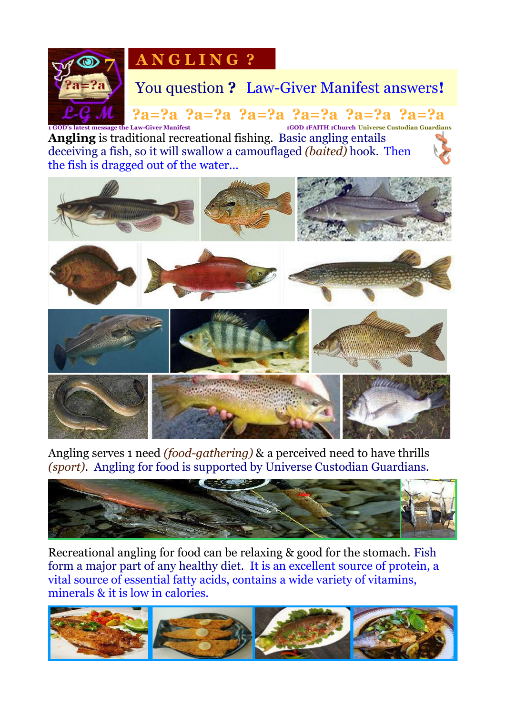

# **A N G L I N G ?**

# You question **?** Law-Giver Manifest answers**!**

 **?a=?a ?a=?a ?a=?a ?a=?a ?a=?a ?a=?a 1 GOD's latest message the Law-Giver Manifest 1GOD 1FAITH 1Church Universe Custodian Guardians Angling** is traditional recreational fishing. Basic angling entails deceiving a fish, so it will swallow a camouflaged *(baited)* hook. Then the fish is dragged out of the water...



Angling serves 1 need *(food-gathering)* & a perceived need to have thrills *(sport)*. Angling for food is supported by Universe Custodian Guardians.



Recreational angling for food can be relaxing & good for the stomach. Fish form a major part of any healthy diet. It is an excellent source of protein, a vital source of essential fatty acids, contains a wide variety of vitamins, minerals & it is low in calories.